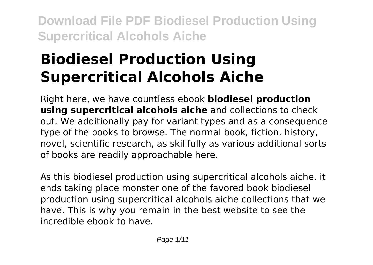# **Biodiesel Production Using Supercritical Alcohols Aiche**

Right here, we have countless ebook **biodiesel production using supercritical alcohols aiche** and collections to check out. We additionally pay for variant types and as a consequence type of the books to browse. The normal book, fiction, history, novel, scientific research, as skillfully as various additional sorts of books are readily approachable here.

As this biodiesel production using supercritical alcohols aiche, it ends taking place monster one of the favored book biodiesel production using supercritical alcohols aiche collections that we have. This is why you remain in the best website to see the incredible ebook to have.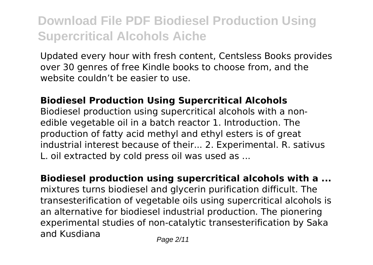Updated every hour with fresh content, Centsless Books provides over 30 genres of free Kindle books to choose from, and the website couldn't be easier to use.

#### **Biodiesel Production Using Supercritical Alcohols**

Biodiesel production using supercritical alcohols with a nonedible vegetable oil in a batch reactor 1. Introduction. The production of fatty acid methyl and ethyl esters is of great industrial interest because of their... 2. Experimental. R. sativus L. oil extracted by cold press oil was used as ...

**Biodiesel production using supercritical alcohols with a ...** mixtures turns biodiesel and glycerin purification difficult. The transesterification of vegetable oils using supercritical alcohols is an alternative for biodiesel industrial production. The pionering experimental studies of non-catalytic transesterification by Saka and Kusdiana Page 2/11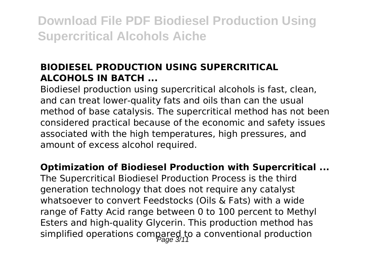### **BIODIESEL PRODUCTION USING SUPERCRITICAL ALCOHOLS IN BATCH ...**

Biodiesel production using supercritical alcohols is fast, clean, and can treat lower-quality fats and oils than can the usual method of base catalysis. The supercritical method has not been considered practical because of the economic and safety issues associated with the high temperatures, high pressures, and amount of excess alcohol required.

#### **Optimization of Biodiesel Production with Supercritical ...**

The Supercritical Biodiesel Production Process is the third generation technology that does not require any catalyst whatsoever to convert Feedstocks (Oils & Fats) with a wide range of Fatty Acid range between 0 to 100 percent to Methyl Esters and high-quality Glycerin. This production method has simplified operations compared to a conventional production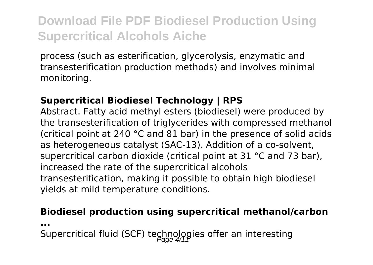process (such as esterification, glycerolysis, enzymatic and transesterification production methods) and involves minimal monitoring.

#### **Supercritical Biodiesel Technology | RPS**

Abstract. Fatty acid methyl esters (biodiesel) were produced by the transesterification of triglycerides with compressed methanol (critical point at 240 °C and 81 bar) in the presence of solid acids as heterogeneous catalyst (SAC-13). Addition of a co-solvent, supercritical carbon dioxide (critical point at 31 °C and 73 bar), increased the rate of the supercritical alcohols transesterification, making it possible to obtain high biodiesel yields at mild temperature conditions.

#### **Biodiesel production using supercritical methanol/carbon**

**...**

Supercritical fluid (SCF) technologies offer an interesting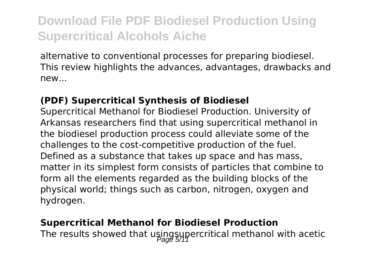alternative to conventional processes for preparing biodiesel. This review highlights the advances, advantages, drawbacks and new...

#### **(PDF) Supercritical Synthesis of Biodiesel**

Supercritical Methanol for Biodiesel Production. University of Arkansas researchers find that using supercritical methanol in the biodiesel production process could alleviate some of the challenges to the cost-competitive production of the fuel. Defined as a substance that takes up space and has mass, matter in its simplest form consists of particles that combine to form all the elements regarded as the building blocks of the physical world; things such as carbon, nitrogen, oxygen and hydrogen.

#### **Supercritical Methanol for Biodiesel Production**

The results showed that usingsupercritical methanol with acetic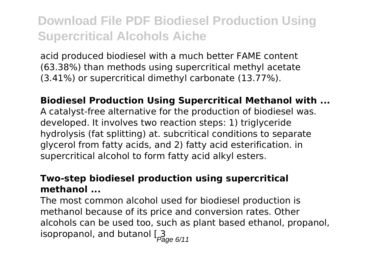acid produced biodiesel with a much better FAME content (63.38%) than methods using supercritical methyl acetate (3.41%) or supercritical dimethyl carbonate (13.77%).

**Biodiesel Production Using Supercritical Methanol with ...** A catalyst-free alternative for the production of biodiesel was. developed. It involves two reaction steps: 1) triglyceride hydrolysis (fat splitting) at. subcritical conditions to separate glycerol from fatty acids, and 2) fatty acid esterification. in supercritical alcohol to form fatty acid alkyl esters.

#### **Two-step biodiesel production using supercritical methanol ...**

The most common alcohol used for biodiesel production is methanol because of its price and conversion rates. Other alcohols can be used too, such as plant based ethanol, propanol,  $\frac{1}{2}$  isopropanol, and butanol  $\frac{3}{2}$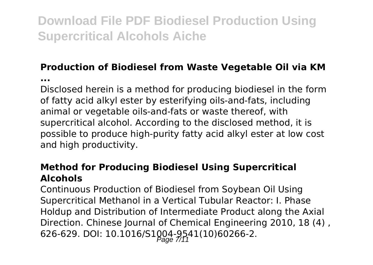### **Production of Biodiesel from Waste Vegetable Oil via KM**

**...**

Disclosed herein is a method for producing biodiesel in the form of fatty acid alkyl ester by esterifying oils-and-fats, including animal or vegetable oils-and-fats or waste thereof, with supercritical alcohol. According to the disclosed method, it is possible to produce high-purity fatty acid alkyl ester at low cost and high productivity.

#### **Method for Producing Biodiesel Using Supercritical Alcohols**

Continuous Production of Biodiesel from Soybean Oil Using Supercritical Methanol in a Vertical Tubular Reactor: I. Phase Holdup and Distribution of Intermediate Product along the Axial Direction. Chinese Journal of Chemical Engineering 2010, 18 (4) , 626-629. DOI: 10.1016/S1004-9541(10)60266-2.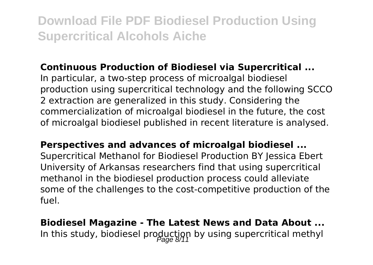#### **Continuous Production of Biodiesel via Supercritical ...**

In particular, a two-step process of microalgal biodiesel production using supercritical technology and the following SCCO 2 extraction are generalized in this study. Considering the commercialization of microalgal biodiesel in the future, the cost of microalgal biodiesel published in recent literature is analysed.

**Perspectives and advances of microalgal biodiesel ...** Supercritical Methanol for Biodiesel Production BY Jessica Ebert University of Arkansas researchers find that using supercritical methanol in the biodiesel production process could alleviate some of the challenges to the cost-competitive production of the fuel.

**Biodiesel Magazine - The Latest News and Data About ...** In this study, biodiesel production by using supercritical methyl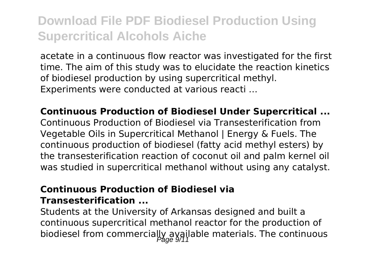acetate in a continuous flow reactor was investigated for the first time. The aim of this study was to elucidate the reaction kinetics of biodiesel production by using supercritical methyl. Experiments were conducted at various reacti …

**Continuous Production of Biodiesel Under Supercritical ...**

Continuous Production of Biodiesel via Transesterification from Vegetable Oils in Supercritical Methanol | Energy & Fuels. The continuous production of biodiesel (fatty acid methyl esters) by the transesterification reaction of coconut oil and palm kernel oil was studied in supercritical methanol without using any catalyst.

#### **Continuous Production of Biodiesel via Transesterification ...**

Students at the University of Arkansas designed and built a continuous supercritical methanol reactor for the production of biodiesel from commercially available materials. The continuous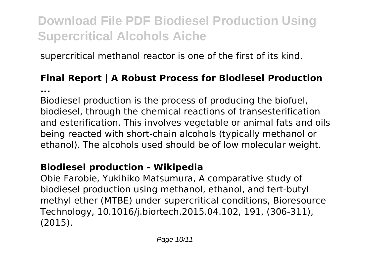supercritical methanol reactor is one of the first of its kind.

#### **Final Report | A Robust Process for Biodiesel Production ...**

Biodiesel production is the process of producing the biofuel, biodiesel, through the chemical reactions of transesterification and esterification. This involves vegetable or animal fats and oils being reacted with short-chain alcohols (typically methanol or ethanol). The alcohols used should be of low molecular weight.

### **Biodiesel production - Wikipedia**

Obie Farobie, Yukihiko Matsumura, A comparative study of biodiesel production using methanol, ethanol, and tert-butyl methyl ether (MTBE) under supercritical conditions, Bioresource Technology, 10.1016/j.biortech.2015.04.102, 191, (306-311), (2015).